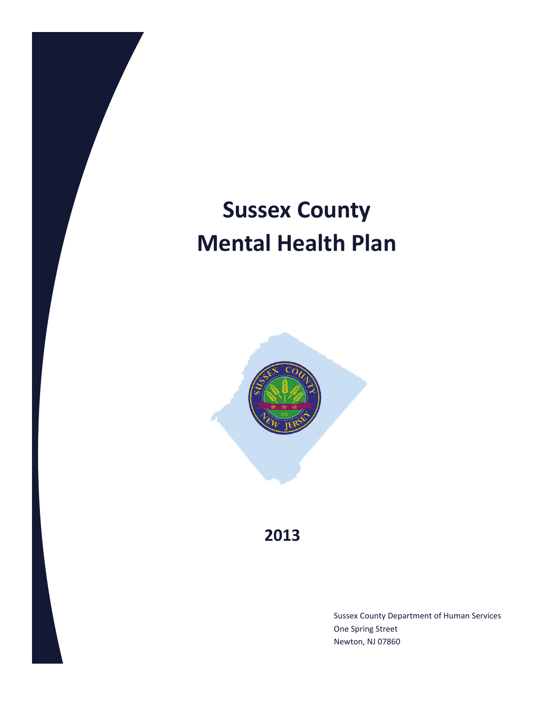# **Sussex County Mental Health Plan**



**2013**

Sussex County Department of Human Services One Spring Street Newton, NJ 07860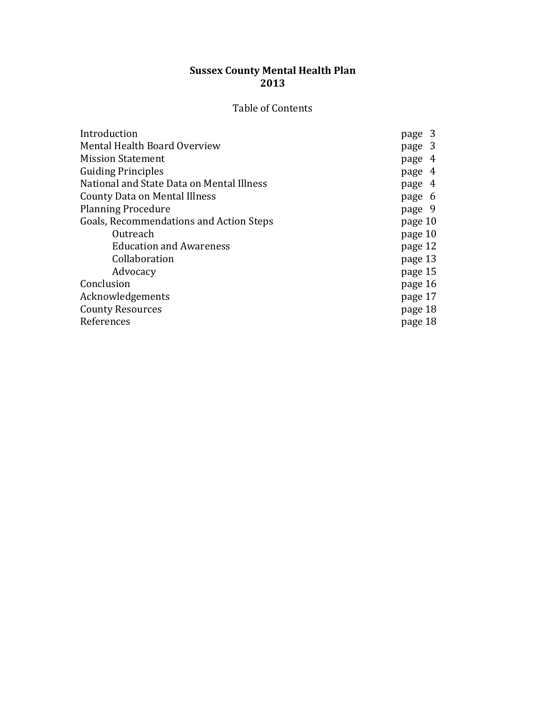# **Sussex County Mental Health Plan 2013**

# Table of Contents

| Introduction                              | page 3  |
|-------------------------------------------|---------|
| Mental Health Board Overview              | page 3  |
| <b>Mission Statement</b>                  | page 4  |
| <b>Guiding Principles</b>                 | page 4  |
| National and State Data on Mental Illness | page 4  |
| County Data on Mental Illness             | page 6  |
| <b>Planning Procedure</b>                 | page 9  |
| Goals, Recommendations and Action Steps   | page 10 |
| Outreach                                  | page 10 |
| <b>Education and Awareness</b>            | page 12 |
| Collaboration                             | page 13 |
| Advocacy                                  | page 15 |
| Conclusion                                | page 16 |
| Acknowledgements                          | page 17 |
| <b>County Resources</b>                   | page 18 |
| References                                | page 18 |
|                                           |         |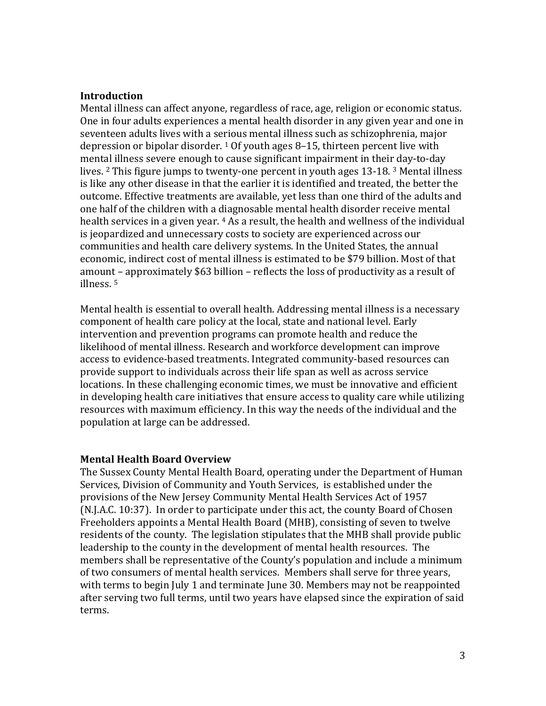#### **Introduction**

Mental illness can affect anyone, regardless of race, age, religion or economic status. One in four adults experiences a mental health disorder in any given year and one in seventeen adults lives with a serious mental illness such as schizophrenia, major depression or bipolar disorder. 1 Of youth ages 8–15, thirteen percent live with mental illness severe enough to cause significant impairment in their day-to-day lives. 2 This figure jumps to twenty-one percent in youth ages 13-18. 3 Mental illness is like any other disease in that the earlier it is identified and treated, the better the outcome. Effective treatments are available, yet less than one third of the adults and one half of the children with a diagnosable mental health disorder receive mental health services in a given year. <sup>4</sup> As a result, the health and wellness of the individual is jeopardized and unnecessary costs to society are experienced across our communities and health care delivery systems. In the United States, the annual economic, indirect cost of mental illness is estimated to be \$79 billion. Most of that amount – approximately \$63 billion – reflects the loss of productivity as a result of illness. 5

Mental health is essential to overall health. Addressing mental illness is a necessary component of health care policy at the local, state and national level. Early intervention and prevention programs can promote health and reduce the likelihood of mental illness. Research and workforce development can improve access to evidence-based treatments. Integrated community-based resources can provide support to individuals across their life span as well as across service locations. In these challenging economic times, we must be innovative and efficient in developing health care initiatives that ensure access to quality care while utilizing resources with maximum efficiency. In this way the needs of the individual and the population at large can be addressed.

#### **Mental Health Board Overview**

The Sussex County Mental Health Board, operating under the Department of Human Services, Division of Community and Youth Services, is established under the provisions of the New Jersey Community Mental Health Services Act of 1957 (N.J.A.C. 10:37). In order to participate under this act, the county Board of Chosen Freeholders appoints a Mental Health Board (MHB), consisting of seven to twelve residents of the county. The legislation stipulates that the MHB shall provide public leadership to the county in the development of mental health resources. The members shall be representative of the County's population and include a minimum of two consumers of mental health services. Members shall serve for three years, with terms to begin July 1 and terminate June 30. Members may not be reappointed after serving two full terms, until two years have elapsed since the expiration of said terms.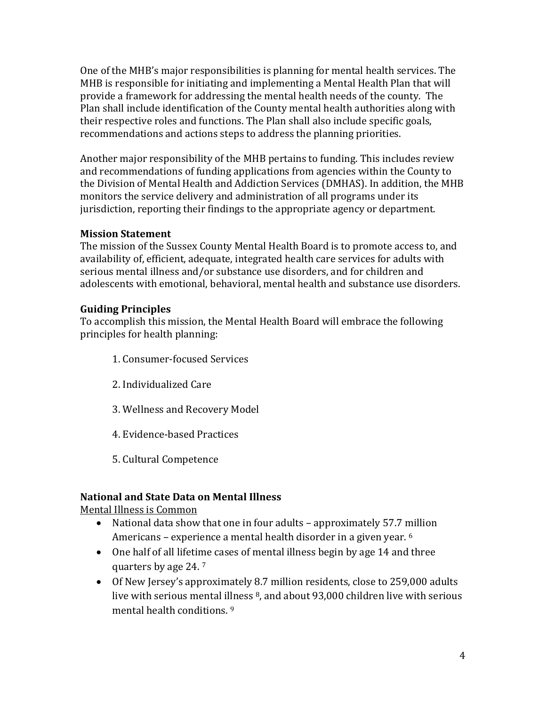One of the MHB's major responsibilities is planning for mental health services. The MHB is responsible for initiating and implementing a Mental Health Plan that will provide a framework for addressing the mental health needs of the county. The Plan shall include identification of the County mental health authorities along with their respective roles and functions. The Plan shall also include specific goals, recommendations and actions steps to address the planning priorities.

Another major responsibility of the MHB pertains to funding. This includes review and recommendations of funding applications from agencies within the County to the Division of Mental Health and Addiction Services (DMHAS). In addition, the MHB monitors the service delivery and administration of all programs under its jurisdiction, reporting their findings to the appropriate agency or department.

# **Mission Statement**

The mission of the Sussex County Mental Health Board is to promote access to, and availability of, efficient, adequate, integrated health care services for adults with serious mental illness and/or substance use disorders, and for children and adolescents with emotional, behavioral, mental health and substance use disorders.

# **Guiding Principles**

To accomplish this mission, the Mental Health Board will embrace the following principles for health planning:

- 1. Consumer-focused Services
- 2. Individualized Care
- 3. Wellness and Recovery Model
- 4. Evidence-based Practices
- 5. Cultural Competence

# **National and State Data on Mental Illness**

Mental Illness is Common

- National data show that one in four adults approximately 57.7 million Americans – experience a mental health disorder in a given year. 6
- One half of all lifetime cases of mental illness begin by age 14 and three quarters by age 24. 7
- Of New Jersey's approximately 8.7 million residents, close to 259,000 adults live with serious mental illness 8, and about 93,000 children live with serious mental health conditions. 9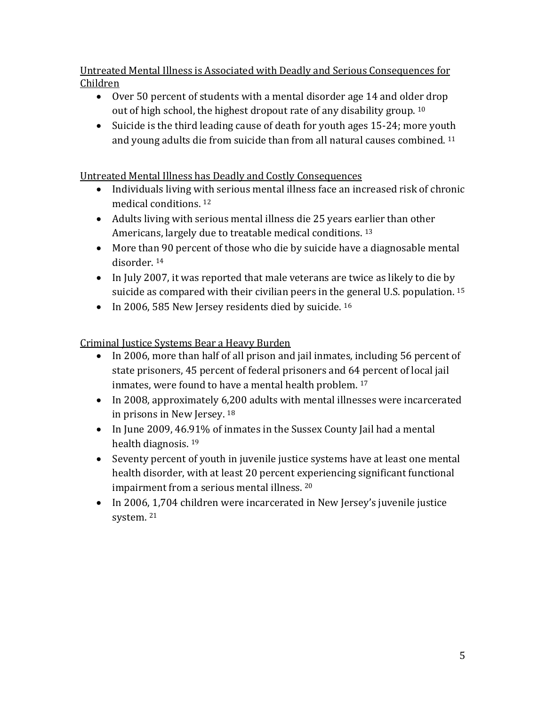Untreated Mental Illness is Associated with Deadly and Serious Consequences for Children

- Over 50 percent of students with a mental disorder age 14 and older drop out of high school, the highest dropout rate of any disability group. 10
- Suicide is the third leading cause of death for youth ages 15-24; more youth and young adults die from suicide than from all natural causes combined. 11

Untreated Mental Illness has Deadly and Costly Consequences

- Individuals living with serious mental illness face an increased risk of chronic medical conditions. 12
- Adults living with serious mental illness die 25 years earlier than other Americans, largely due to treatable medical conditions. 13
- More than 90 percent of those who die by suicide have a diagnosable mental disorder. 14
- In July 2007, it was reported that male veterans are twice as likely to die by suicide as compared with their civilian peers in the general U.S. population. 15
- In 2006, 585 New Jersey residents died by suicide. <sup>16</sup>

Criminal Justice Systems Bear a Heavy Burden

- In 2006, more than half of all prison and jail inmates, including 56 percent of state prisoners, 45 percent of federal prisoners and 64 percent of local jail inmates, were found to have a mental health problem. 17
- In 2008, approximately 6,200 adults with mental illnesses were incarcerated in prisons in New Jersey. 18
- In June 2009, 46.91% of inmates in the Sussex County Jail had a mental health diagnosis. 19
- Seventy percent of youth in juvenile justice systems have at least one mental health disorder, with at least 20 percent experiencing significant functional impairment from a serious mental illness. 20
- In 2006, 1,704 children were incarcerated in New Jersey's juvenile justice system. <sup>21</sup>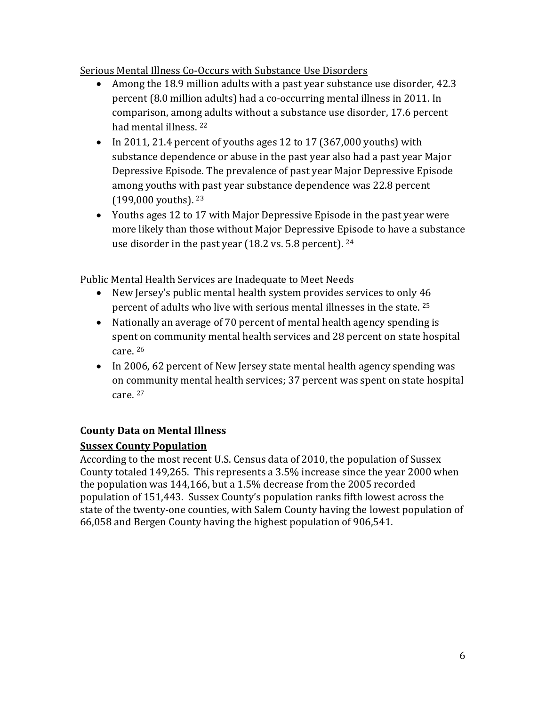Serious Mental Illness Co-Occurs with Substance Use Disorders

- Among the 18.9 million adults with a past year substance use disorder, 42.3 percent (8.0 million adults) had a co-occurring mental illness in 2011. In comparison, among adults without a substance use disorder, 17.6 percent had mental illness. 22
- In 2011, 21.4 percent of youths ages 12 to 17 (367,000 youths) with substance dependence or abuse in the past year also had a past year Major Depressive Episode. The prevalence of past year Major Depressive Episode among youths with past year substance dependence was 22.8 percent (199,000 youths). <sup>23</sup>
- Youths ages 12 to 17 with Major Depressive Episode in the past year were more likely than those without Major Depressive Episode to have a substance use disorder in the past year (18.2 vs. 5.8 percent). <sup>24</sup>

Public Mental Health Services are Inadequate to Meet Needs

- New Jersey's public mental health system provides services to only 46 percent of adults who live with serious mental illnesses in the state. 25
- Nationally an average of 70 percent of mental health agency spending is spent on community mental health services and 28 percent on state hospital care. <sup>26</sup>
- In 2006, 62 percent of New Jersey state mental health agency spending was on community mental health services; 37 percent was spent on state hospital care. <sup>27</sup>

# **County Data on Mental Illness**

# **Sussex County Population**

According to the most recent U.S. Census data of 2010, the population of Sussex County totaled 149,265. This represents a 3.5% increase since the year 2000 when the population was 144,166, but a 1.5% decrease from the 2005 recorded population of 151,443. Sussex County's population ranks fifth lowest across the state of the twenty-one counties, with Salem County having the lowest population of 66,058 and Bergen County having the highest population of 906,541.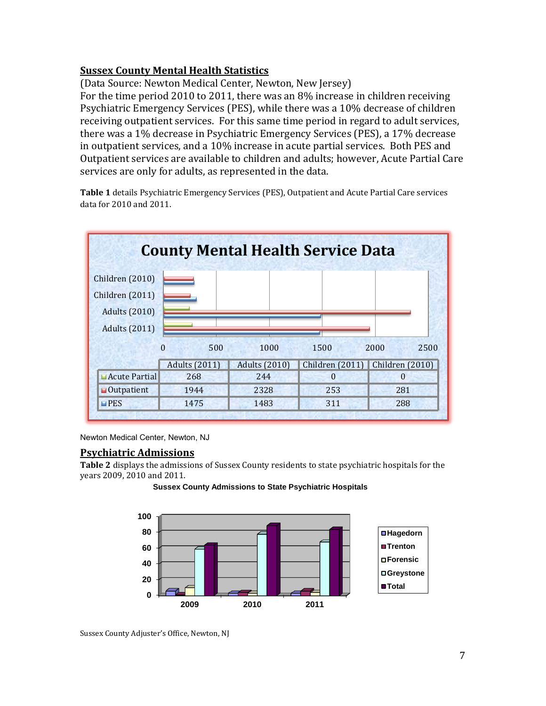## **Sussex County Mental Health Statistics**

(Data Source: Newton Medical Center, Newton, New Jersey)

For the time period 2010 to 2011, there was an 8% increase in children receiving Psychiatric Emergency Services (PES), while there was a 10% decrease of children receiving outpatient services. For this same time period in regard to adult services, there was a 1% decrease in Psychiatric Emergency Services (PES), a 17% decrease in outpatient services, and a 10% increase in acute partial services. Both PES and Outpatient services are available to children and adults; however, Acute Partial Care services are only for adults, as represented in the data.

**Table 1** details Psychiatric Emergency Services (PES), Outpatient and Acute Partial Care services data for 2010 and 2011.



Newton Medical Center, Newton, NJ

#### **Psychiatric Admissions**

**Table 2** displays the admissions of Sussex County residents to state psychiatric hospitals for the years 2009, 2010 and 2011.

**Sussex County Admissions to State Psychiatric Hospitals**



Sussex County Adjuster's Office, Newton, NJ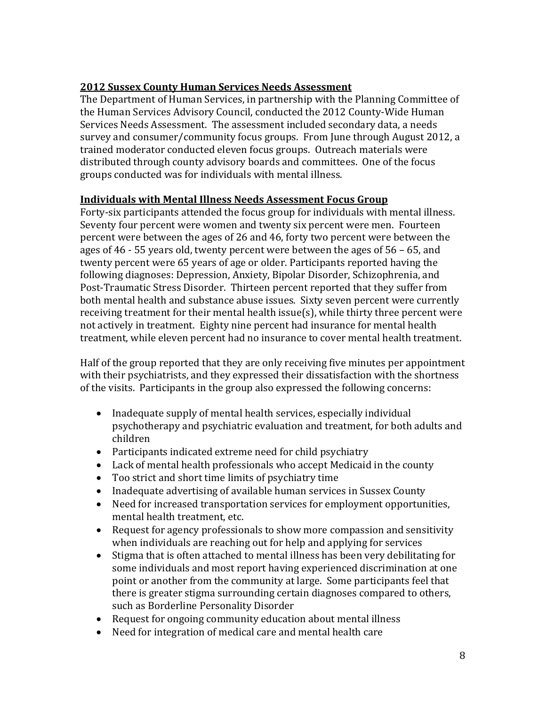# **2012 Sussex County Human Services Needs Assessment**

The Department of Human Services, in partnership with the Planning Committee of the Human Services Advisory Council, conducted the 2012 County-Wide Human Services Needs Assessment. The assessment included secondary data, a needs survey and consumer/community focus groups. From June through August 2012, a trained moderator conducted eleven focus groups. Outreach materials were distributed through county advisory boards and committees. One of the focus groups conducted was for individuals with mental illness.

#### **Individuals with Mental Illness Needs Assessment Focus Group**

Forty-six participants attended the focus group for individuals with mental illness. Seventy four percent were women and twenty six percent were men. Fourteen percent were between the ages of 26 and 46, forty two percent were between the ages of 46 - 55 years old, twenty percent were between the ages of 56 – 65, and twenty percent were 65 years of age or older. Participants reported having the following diagnoses: Depression, Anxiety, Bipolar Disorder, Schizophrenia, and Post-Traumatic Stress Disorder. Thirteen percent reported that they suffer from both mental health and substance abuse issues. Sixty seven percent were currently receiving treatment for their mental health issue(s), while thirty three percent were not actively in treatment. Eighty nine percent had insurance for mental health treatment, while eleven percent had no insurance to cover mental health treatment.

Half of the group reported that they are only receiving five minutes per appointment with their psychiatrists, and they expressed their dissatisfaction with the shortness of the visits. Participants in the group also expressed the following concerns:

- Inadequate supply of mental health services, especially individual psychotherapy and psychiatric evaluation and treatment, for both adults and children
- Participants indicated extreme need for child psychiatry
- Lack of mental health professionals who accept Medicaid in the county
- Too strict and short time limits of psychiatry time
- Inadequate advertising of available human services in Sussex County
- Need for increased transportation services for employment opportunities, mental health treatment, etc.
- Request for agency professionals to show more compassion and sensitivity when individuals are reaching out for help and applying for services
- Stigma that is often attached to mental illness has been very debilitating for some individuals and most report having experienced discrimination at one point or another from the community at large. Some participants feel that there is greater stigma surrounding certain diagnoses compared to others, such as Borderline Personality Disorder
- Request for ongoing community education about mental illness
- Need for integration of medical care and mental health care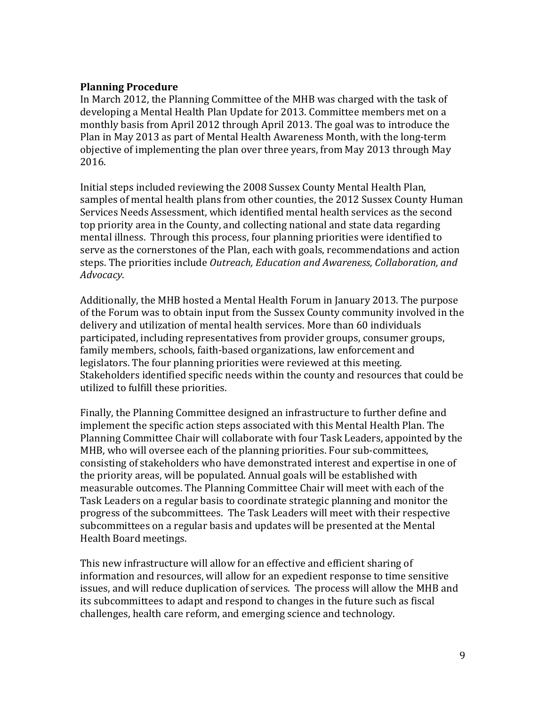#### **Planning Procedure**

In March 2012, the Planning Committee of the MHB was charged with the task of developing a Mental Health Plan Update for 2013. Committee members met on a monthly basis from April 2012 through April 2013. The goal was to introduce the Plan in May 2013 as part of Mental Health Awareness Month, with the long-term objective of implementing the plan over three years, from May 2013 through May 2016.

Initial steps included reviewing the 2008 Sussex County Mental Health Plan, samples of mental health plans from other counties, the 2012 Sussex County Human Services Needs Assessment, which identified mental health services as the second top priority area in the County, and collecting national and state data regarding mental illness. Through this process, four planning priorities were identified to serve as the cornerstones of the Plan, each with goals, recommendations and action steps. The priorities include *Outreach, Education and Awareness, Collaboration, and Advocacy*.

Additionally, the MHB hosted a Mental Health Forum in January 2013. The purpose of the Forum was to obtain input from the Sussex County community involved in the delivery and utilization of mental health services. More than 60 individuals participated, including representatives from provider groups, consumer groups, family members, schools, faith-based organizations, law enforcement and legislators. The four planning priorities were reviewed at this meeting. Stakeholders identified specific needs within the county and resources that could be utilized to fulfill these priorities.

Finally, the Planning Committee designed an infrastructure to further define and implement the specific action steps associated with this Mental Health Plan. The Planning Committee Chair will collaborate with four Task Leaders, appointed by the MHB, who will oversee each of the planning priorities. Four sub-committees, consisting of stakeholders who have demonstrated interest and expertise in one of the priority areas, will be populated. Annual goals will be established with measurable outcomes. The Planning Committee Chair will meet with each of the Task Leaders on a regular basis to coordinate strategic planning and monitor the progress of the subcommittees. The Task Leaders will meet with their respective subcommittees on a regular basis and updates will be presented at the Mental Health Board meetings.

This new infrastructure will allow for an effective and efficient sharing of information and resources, will allow for an expedient response to time sensitive issues, and will reduce duplication of services. The process will allow the MHB and its subcommittees to adapt and respond to changes in the future such as fiscal challenges, health care reform, and emerging science and technology.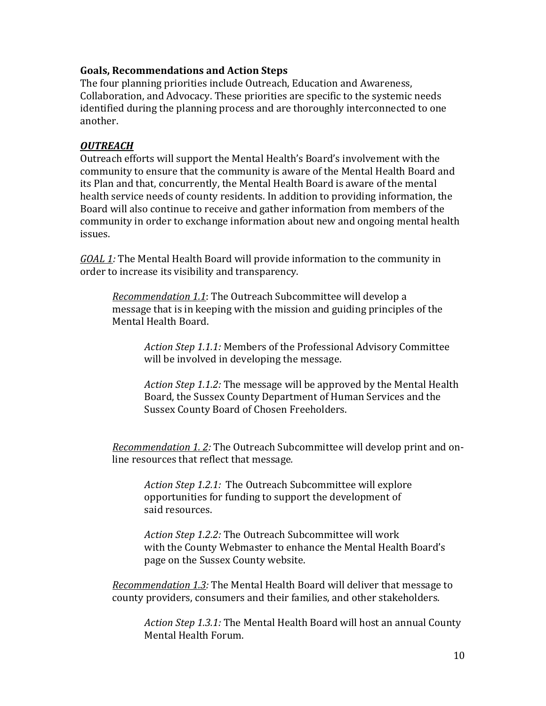## **Goals, Recommendations and Action Steps**

The four planning priorities include Outreach, Education and Awareness, Collaboration, and Advocacy. These priorities are specific to the systemic needs identified during the planning process and are thoroughly interconnected to one another.

# *OUTREACH*

Outreach efforts will support the Mental Health's Board's involvement with the community to ensure that the community is aware of the Mental Health Board and its Plan and that, concurrently, the Mental Health Board is aware of the mental health service needs of county residents. In addition to providing information, the Board will also continue to receive and gather information from members of the community in order to exchange information about new and ongoing mental health issues.

*GOAL 1:* The Mental Health Board will provide information to the community in order to increase its visibility and transparency.

*Recommendation 1.1*: The Outreach Subcommittee will develop a message that is in keeping with the mission and guiding principles of the Mental Health Board.

*Action Step 1.1.1:* Members of the Professional Advisory Committee will be involved in developing the message.

*Action Step 1.1.2:* The message will be approved by the Mental Health Board, the Sussex County Department of Human Services and the Sussex County Board of Chosen Freeholders.

*Recommendation 1. 2:* The Outreach Subcommittee will develop print and online resources that reflect that message*.*

*Action Step 1.2.1:* The Outreach Subcommittee will explore opportunities for funding to support the development of said resources.

*Action Step 1.2.2:* The Outreach Subcommittee will work with the County Webmaster to enhance the Mental Health Board's page on the Sussex County website.

*Recommendation 1.3:* The Mental Health Board will deliver that message to county providers, consumers and their families, and other stakeholders.

*Action Step 1.3.1:* The Mental Health Board will host an annual County Mental Health Forum.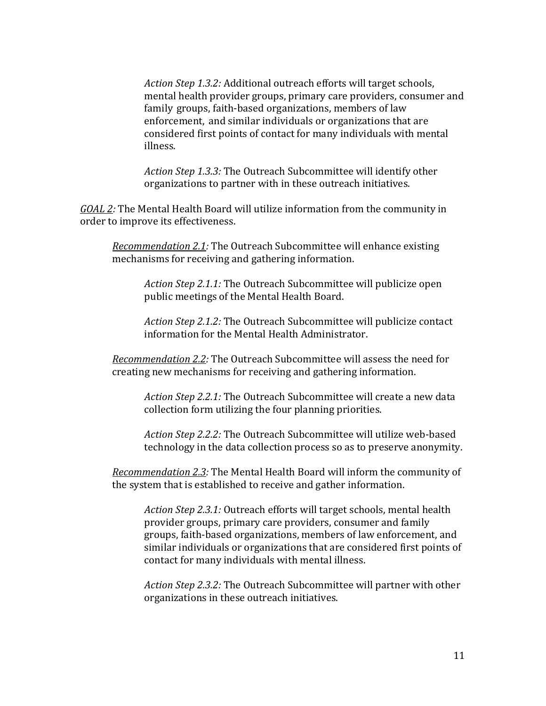*Action Step 1.3.2:* Additional outreach efforts will target schools, mental health provider groups, primary care providers, consumer and family groups, faith-based organizations, members of law enforcement, and similar individuals or organizations that are considered first points of contact for many individuals with mental illness.

*Action Step 1.3.3:* The Outreach Subcommittee will identify other organizations to partner with in these outreach initiatives.

*GOAL 2:* The Mental Health Board will utilize information from the community in order to improve its effectiveness.

*Recommendation 2.1:* The Outreach Subcommittee will enhance existing mechanisms for receiving and gathering information.

*Action Step 2.1.1:* The Outreach Subcommittee will publicize open public meetings of the Mental Health Board.

*Action Step 2.1.2:* The Outreach Subcommittee will publicize contact information for the Mental Health Administrator.

*Recommendation 2.2:* The Outreach Subcommittee will assess the need for creating new mechanisms for receiving and gathering information.

*Action Step 2.2.1:* The Outreach Subcommittee will create a new data collection form utilizing the four planning priorities.

*Action Step 2.2.2:* The Outreach Subcommittee will utilize web-based technology in the data collection process so as to preserve anonymity.

*Recommendation 2.3:* The Mental Health Board will inform the community of the system that is established to receive and gather information.

*Action Step 2.3.1:* Outreach efforts will target schools, mental health provider groups, primary care providers, consumer and family groups, faith-based organizations, members of law enforcement, and similar individuals or organizations that are considered first points of contact for many individuals with mental illness.

*Action Step 2.3.2:* The Outreach Subcommittee will partner with other organizations in these outreach initiatives.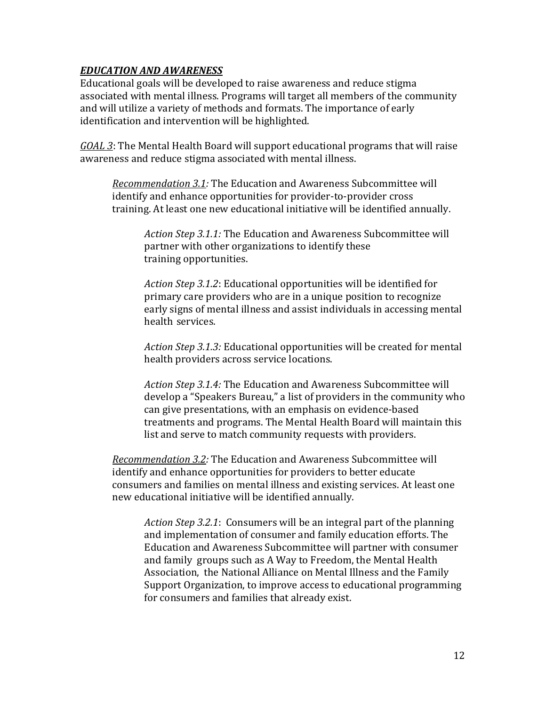# *EDUCATION AND AWARENESS*

Educational goals will be developed to raise awareness and reduce stigma associated with mental illness. Programs will target all members of the community and will utilize a variety of methods and formats. The importance of early identification and intervention will be highlighted.

*GOAL 3*: The Mental Health Board will support educational programs that will raise awareness and reduce stigma associated with mental illness.

*Recommendation 3.1:* The Education and Awareness Subcommittee will identify and enhance opportunities for provider-to-provider cross training. At least one new educational initiative will be identified annually.

*Action Step 3.1.1:* The Education and Awareness Subcommittee will partner with other organizations to identify these training opportunities.

*Action Step 3.1.2*: Educational opportunities will be identified for primary care providers who are in a unique position to recognize early signs of mental illness and assist individuals in accessing mental health services.

*Action Step 3.1.3:* Educational opportunities will be created for mental health providers across service locations.

*Action Step 3.1.4:* The Education and Awareness Subcommittee will develop a "Speakers Bureau," a list of providers in the community who can give presentations, with an emphasis on evidence-based treatments and programs. The Mental Health Board will maintain this list and serve to match community requests with providers.

*Recommendation 3.2:* The Education and Awareness Subcommittee will identify and enhance opportunities for providers to better educate consumers and families on mental illness and existing services. At least one new educational initiative will be identified annually.

*Action Step 3.2.1*: Consumers will be an integral part of the planning and implementation of consumer and family education efforts. The Education and Awareness Subcommittee will partner with consumer and family groups such as A Way to Freedom, the Mental Health Association, the National Alliance on Mental Illness and the Family Support Organization, to improve access to educational programming for consumers and families that already exist.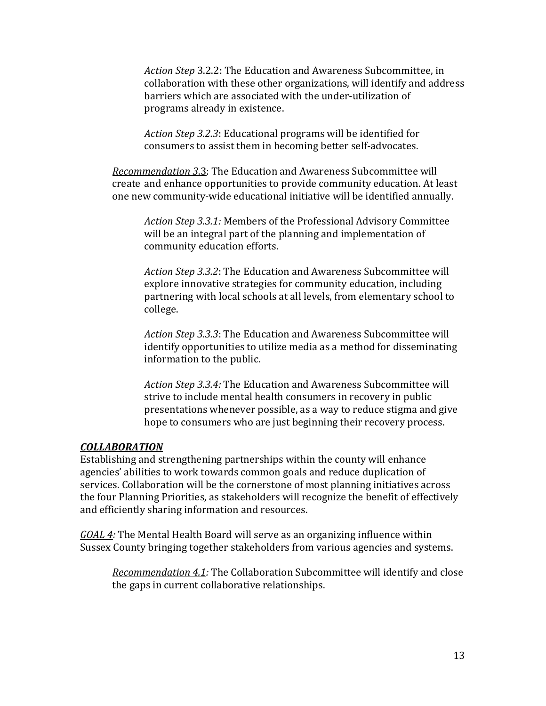*Action Step* 3.2.2: The Education and Awareness Subcommittee, in collaboration with these other organizations, will identify and address barriers which are associated with the under-utilization of programs already in existence.

*Action Step 3.2.3*: Educational programs will be identified for consumers to assist them in becoming better self-advocates.

*Recommendation 3*.3: The Education and Awareness Subcommittee will create and enhance opportunities to provide community education. At least one new community-wide educational initiative will be identified annually.

*Action Step 3.3.1:* Members of the Professional Advisory Committee will be an integral part of the planning and implementation of community education efforts.

*Action Step 3.3.2*: The Education and Awareness Subcommittee will explore innovative strategies for community education, including partnering with local schools at all levels, from elementary school to college.

*Action Step 3.3.3*: The Education and Awareness Subcommittee will identify opportunities to utilize media as a method for disseminating information to the public.

*Action Step 3.3.4:* The Education and Awareness Subcommittee will strive to include mental health consumers in recovery in public presentations whenever possible, as a way to reduce stigma and give hope to consumers who are just beginning their recovery process.

#### *COLLABORATION*

Establishing and strengthening partnerships within the county will enhance agencies' abilities to work towards common goals and reduce duplication of services. Collaboration will be the cornerstone of most planning initiatives across the four Planning Priorities, as stakeholders will recognize the benefit of effectively and efficiently sharing information and resources.

*GOAL 4:* The Mental Health Board will serve as an organizing influence within Sussex County bringing together stakeholders from various agencies and systems.

*Recommendation 4.1:* The Collaboration Subcommittee will identify and close the gaps in current collaborative relationships.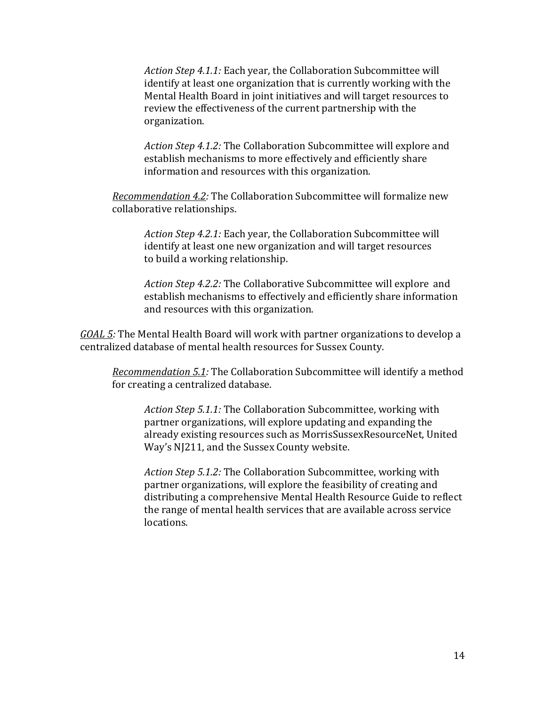*Action Step 4.1.1:* Each year, the Collaboration Subcommittee will identify at least one organization that is currently working with the Mental Health Board in joint initiatives and will target resources to review the effectiveness of the current partnership with the organization.

*Action Step 4.1.2:* The Collaboration Subcommittee will explore and establish mechanisms to more effectively and efficiently share information and resources with this organization.

*Recommendation 4.2:* The Collaboration Subcommittee will formalize new collaborative relationships.

*Action Step 4.2.1:* Each year, the Collaboration Subcommittee will identify at least one new organization and will target resources to build a working relationship.

*Action Step 4.2.2:* The Collaborative Subcommittee will explore and establish mechanisms to effectively and efficiently share information and resources with this organization.

*GOAL 5:* The Mental Health Board will work with partner organizations to develop a centralized database of mental health resources for Sussex County.

*Recommendation 5.1:* The Collaboration Subcommittee will identify a method for creating a centralized database.

*Action Step 5.1.1:* The Collaboration Subcommittee, working with partner organizations, will explore updating and expanding the already existing resources such as MorrisSussexResourceNet, United Way's NJ211, and the Sussex County website.

*Action Step 5.1.2:* The Collaboration Subcommittee, working with partner organizations, will explore the feasibility of creating and distributing a comprehensive Mental Health Resource Guide to reflect the range of mental health services that are available across service locations.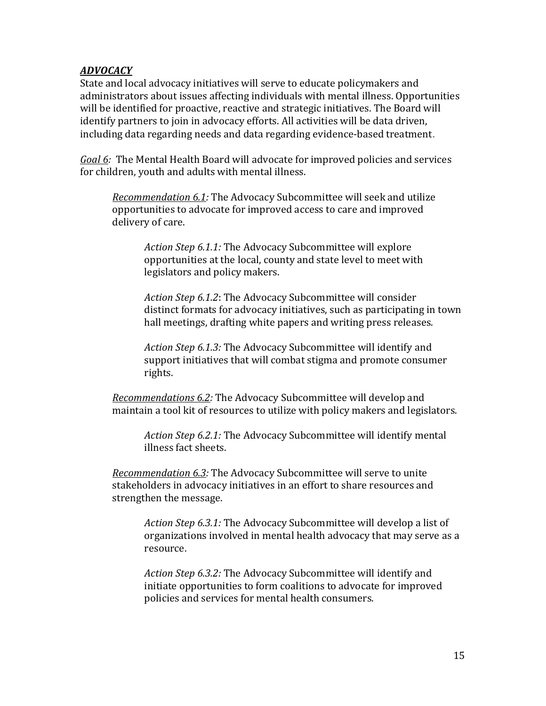# *ADVOCACY*

State and local advocacy initiatives will serve to educate policymakers and administrators about issues affecting individuals with mental illness. Opportunities will be identified for proactive, reactive and strategic initiatives. The Board will identify partners to join in advocacy efforts. All activities will be data driven, including data regarding needs and data regarding evidence-based treatment.

*Goal 6:* The Mental Health Board will advocate for improved policies and services for children, youth and adults with mental illness.

*Recommendation 6.1:* The Advocacy Subcommittee will seek and utilize opportunities to advocate for improved access to care and improved delivery of care.

*Action Step 6.1.1:* The Advocacy Subcommittee will explore opportunities at the local, county and state level to meet with legislators and policy makers.

*Action Step 6.1.2*: The Advocacy Subcommittee will consider distinct formats for advocacy initiatives, such as participating in town hall meetings, drafting white papers and writing press releases.

*Action Step 6.1.3:* The Advocacy Subcommittee will identify and support initiatives that will combat stigma and promote consumer rights.

*Recommendations 6.2:* The Advocacy Subcommittee will develop and maintain a tool kit of resources to utilize with policy makers and legislators.

*Action Step 6.2.1:* The Advocacy Subcommittee will identify mental illness fact sheets.

*Recommendation 6.3:* The Advocacy Subcommittee will serve to unite stakeholders in advocacy initiatives in an effort to share resources and strengthen the message.

*Action Step 6.3.1:* The Advocacy Subcommittee will develop a list of organizations involved in mental health advocacy that may serve as a resource.

*Action Step 6.3.2:* The Advocacy Subcommittee will identify and initiate opportunities to form coalitions to advocate for improved policies and services for mental health consumers.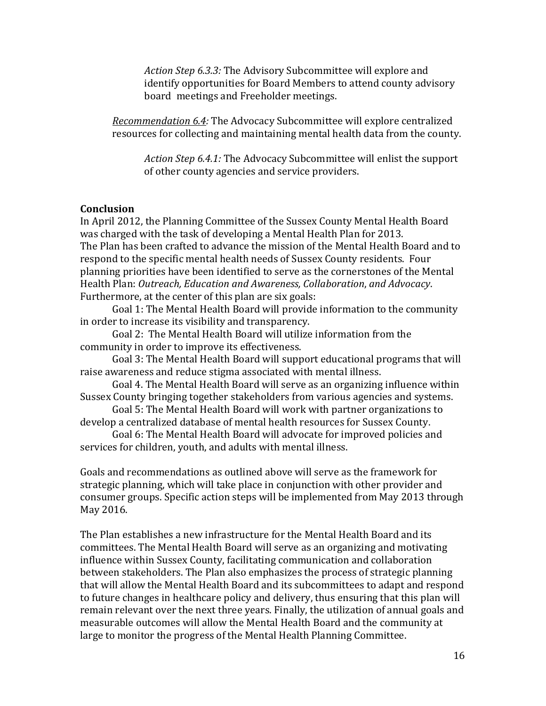*Action Step 6.3.3:* The Advisory Subcommittee will explore and identify opportunities for Board Members to attend county advisory board meetings and Freeholder meetings.

*Recommendation 6.4:* The Advocacy Subcommittee will explore centralized resources for collecting and maintaining mental health data from the county.

*Action Step 6.4.1:* The Advocacy Subcommittee will enlist the support of other county agencies and service providers.

#### **Conclusion**

In April 2012, the Planning Committee of the Sussex County Mental Health Board was charged with the task of developing a Mental Health Plan for 2013. The Plan has been crafted to advance the mission of the Mental Health Board and to respond to the specific mental health needs of Sussex County residents. Four planning priorities have been identified to serve as the cornerstones of the Mental Health Plan: *Outreach, Education and Awareness, Collaboration*, *and Advocacy*. Furthermore, at the center of this plan are six goals:

Goal 1: The Mental Health Board will provide information to the community in order to increase its visibility and transparency.

Goal 2: The Mental Health Board will utilize information from the community in order to improve its effectiveness.

Goal 3: The Mental Health Board will support educational programs that will raise awareness and reduce stigma associated with mental illness.

Goal 4. The Mental Health Board will serve as an organizing influence within Sussex County bringing together stakeholders from various agencies and systems.

Goal 5: The Mental Health Board will work with partner organizations to develop a centralized database of mental health resources for Sussex County.

Goal 6: The Mental Health Board will advocate for improved policies and services for children, youth, and adults with mental illness.

Goals and recommendations as outlined above will serve as the framework for strategic planning, which will take place in conjunction with other provider and consumer groups. Specific action steps will be implemented from May 2013 through May 2016.

The Plan establishes a new infrastructure for the Mental Health Board and its committees. The Mental Health Board will serve as an organizing and motivating influence within Sussex County, facilitating communication and collaboration between stakeholders. The Plan also emphasizes the process of strategic planning that will allow the Mental Health Board and its subcommittees to adapt and respond to future changes in healthcare policy and delivery, thus ensuring that this plan will remain relevant over the next three years. Finally, the utilization of annual goals and measurable outcomes will allow the Mental Health Board and the community at large to monitor the progress of the Mental Health Planning Committee.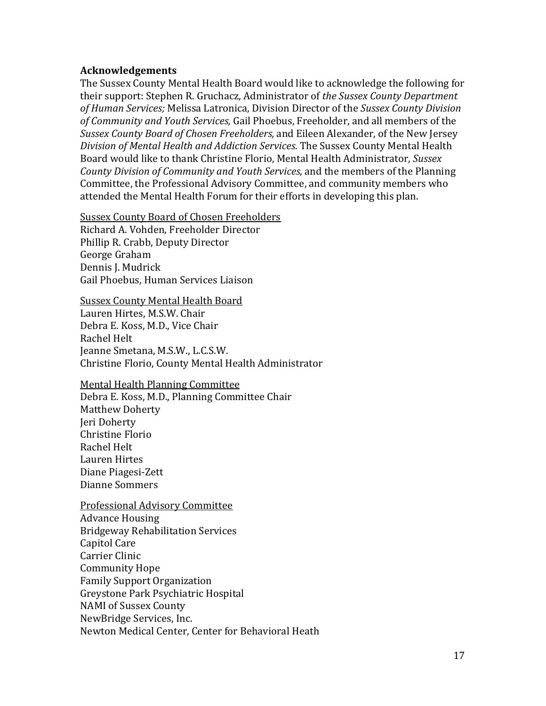#### **Acknowledgements**

The Sussex County Mental Health Board would like to acknowledge the following for their support: Stephen R. Gruchacz, Administrator of *the Sussex County Department of Human Services;* Melissa Latronica, Division Director of the *Sussex County Division of Community and Youth Services,* Gail Phoebus, Freeholder, and all members of the *Sussex County Board of Chosen Freeholders,* and Eileen Alexander, of the New Jersey *Division of Mental Health and Addiction Services*. The Sussex County Mental Health Board would like to thank Christine Florio, Mental Health Administrator, *Sussex County Division of Community and Youth Services,* and the members of the Planning Committee, the Professional Advisory Committee, and community members who attended the Mental Health Forum for their efforts in developing this plan.

Sussex County Board of Chosen Freeholders

Richard A. Vohden, Freeholder Director Phillip R. Crabb, Deputy Director George Graham Dennis J. Mudrick Gail Phoebus, Human Services Liaison

Sussex County Mental Health Board Lauren Hirtes, M.S.W. Chair Debra E. Koss, M.D., Vice Chair Rachel Helt Jeanne Smetana, M.S.W., L.C.S.W. Christine Florio, County Mental Health Administrator

Mental Health Planning Committee Debra E. Koss, M.D., Planning Committee Chair Matthew Doherty Jeri Doherty Christine Florio Rachel Helt Lauren Hirtes Diane Piagesi-Zett Dianne Sommers

Professional Advisory Committee Advance Housing Bridgeway Rehabilitation Services Capitol Care Carrier Clinic Community Hope Family Support Organization Greystone Park Psychiatric Hospital NAMI of Sussex County NewBridge Services, Inc. Newton Medical Center, Center for Behavioral Heath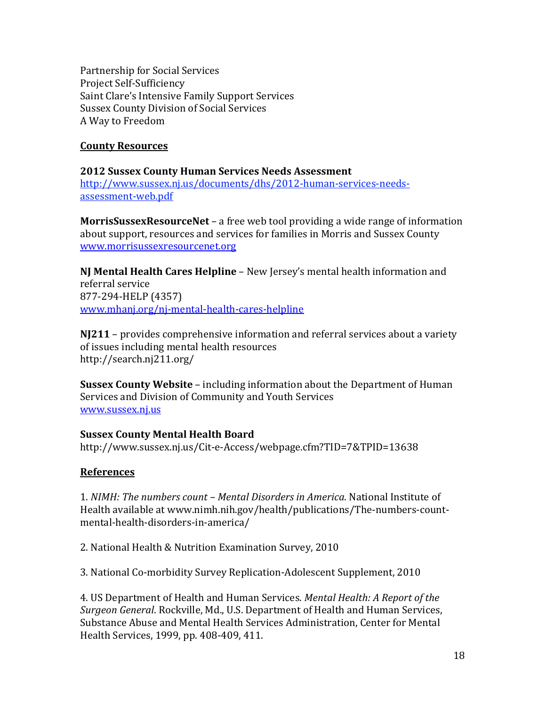Partnership for Social Services Project Self-Sufficiency Saint Clare's Intensive Family Support Services Sussex County Division of Social Services A Way to Freedom

## **County Resources**

#### **2012 Sussex County Human Services Needs Assessment**

[http://www.sussex.nj.us/documents/dhs/2012-human-services-needs](http://www.sussex.nj.us/documents/dhs/2012-human-services-needs-assessment-web.pdf)[assessment-web.pdf](http://www.sussex.nj.us/documents/dhs/2012-human-services-needs-assessment-web.pdf)

**MorrisSussexResourceNet** – a free web tool providing a wide range of information about support, resources and services for families in Morris and Sussex County [www.morrisussexresourcenet.org](http://www.morrisussexresourcenet.org/)

**NJ Mental Health Cares Helpline** – New Jersey's mental health information and referral service 877-294-HELP (4357) [www.mhanj.org/nj-mental-health-cares-helpline](http://www.mhanj.org/nj-mental-health-cares-helpline)

**NJ211** – provides comprehensive information and referral services about a variety of issues including mental health resources http://search.nj211.org/

**Sussex County Website** – including information about the Department of Human Services and Division of Community and Youth Services [www.sussex.nj.us](http://www.sussex.nj.us/)

#### **Sussex County Mental Health Board**

http://www.sussex.nj.us/Cit-e-Access/webpage.cfm?TID=7&TPID=13638

#### **References**

1. *NIMH: The numbers count – Mental Disorders in America*. National Institute of Health available at www.nimh.nih.gov/health/publications/The-numbers-countmental-health-disorders-in-america/

2. National Health & Nutrition Examination Survey, 2010

3. National Co-morbidity Survey Replication-Adolescent Supplement, 2010

4. US Department of Health and Human Services. *Mental Health: A Report of the Surgeon General*. Rockville, Md., U.S. Department of Health and Human Services, Substance Abuse and Mental Health Services Administration, Center for Mental Health Services, 1999, pp. 408-409, 411.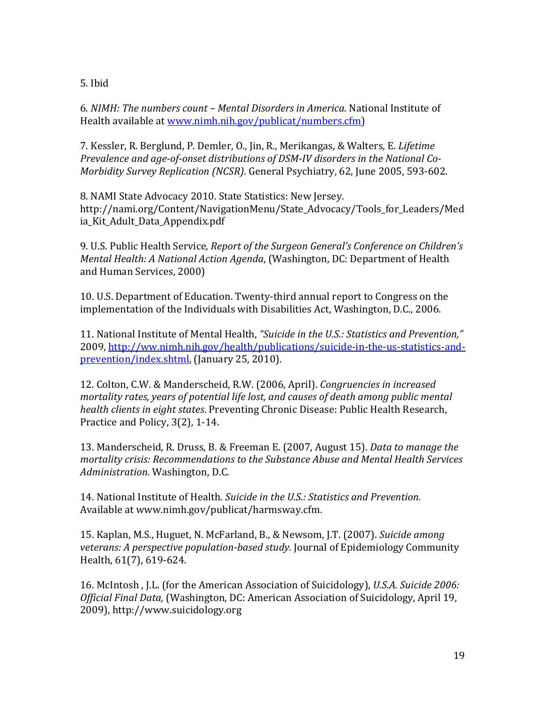5. Ibid

6. *NIMH: The numbers count – Mental Disorders in America*. National Institute of Health available a[t www.nimh.nih.gov/publicat/numbers.cfm\)](http://www.nimh.nih.gov/publicat/numbers.cfm)

7. Kessler, R. Berglund, P. Demler, O., Jin, R., Merikangas, & Walters, E. *Lifetime Prevalence and age-of-onset distributions of DSM-IV disorders in the National Co-Morbidity Survey Replication (NCSR)*. General Psychiatry, 62, June 2005, 593-602.

8. NAMI State Advocacy 2010. State Statistics: New Jersey. http://nami.org/Content/NavigationMenu/State\_Advocacy/Tools\_for\_Leaders/Med ia\_Kit\_Adult\_Data\_Appendix.pdf

9. U.S. Public Health Service*, Report of the Surgeon General's Conference on Children's Mental Health: A National Action Agenda*, (Washington, DC: Department of Health and Human Services, 2000)

10. U.S. Department of Education. Twenty-third annual report to Congress on the implementation of the Individuals with Disabilities Act, Washington, D.C., 2006.

11. National Institute of Mental Health, *"Suicide in the U.S.: Statistics and Prevention,"*  2009, [http://ww.nimh.nih.gov/health/publications/suicide-in-the-us-statistics-and](http://ww.nimh.nih.gov/health/publications/suicide-in-the-us-statistics-and-prevention/index.shtml)[prevention/index.shtml,](http://ww.nimh.nih.gov/health/publications/suicide-in-the-us-statistics-and-prevention/index.shtml) (January 25, 2010).

12. Colton, C.W. & Manderscheid, R.W. (2006, April). *Congruencies in increased mortality rates, years of potential life lost, and causes of death among public mental health clients in eight states*. Preventing Chronic Disease: Public Health Research, Practice and Policy, 3(2), 1-14.

13. Manderscheid, R. Druss, B. & Freeman E. (2007, August 15). *Data to manage the mortality crisis: Recommendations to the Substance Abuse and Mental Health Services Administration*. Washington, D.C.

14. National Institute of Health*. Suicide in the U.S.: Statistics and Prevention.* Available at www.nimh.gov/publicat/harmsway.cfm.

15. Kaplan, M.S., Huguet, N. McFarland, B., & Newsom, J.T. (2007). *Suicide among veterans: A perspective population-based study.* Journal of Epidemiology Community Health, 61(7), 619-624.

16. McIntosh , J.L. (for the American Association of Suicidology), *U.S.A. Suicide 2006: Official Final Data,* (Washington, DC: American Association of Suicidology, April 19, 2009), http://www.suicidology.org